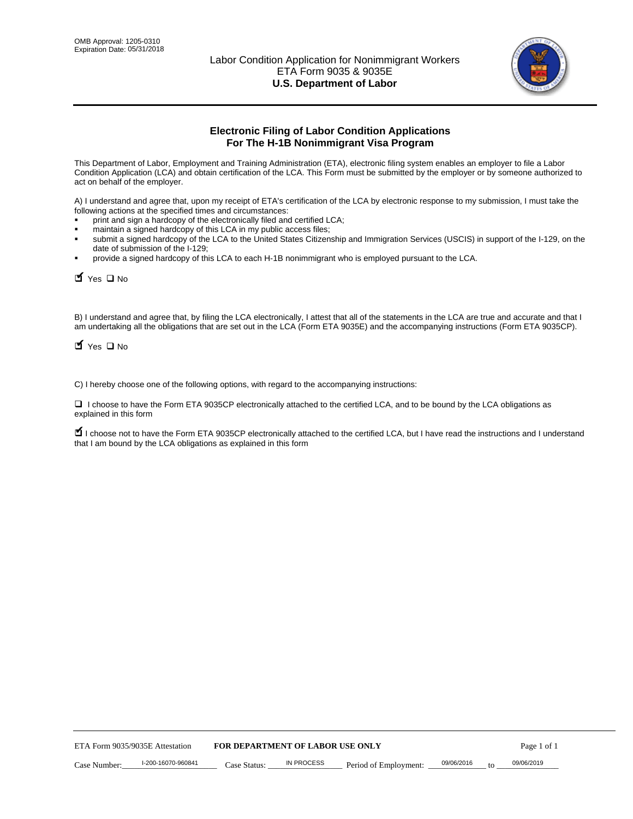

# **Electronic Filing of Labor Condition Applications For The H-1B Nonimmigrant Visa Program**

This Department of Labor, Employment and Training Administration (ETA), electronic filing system enables an employer to file a Labor Condition Application (LCA) and obtain certification of the LCA. This Form must be submitted by the employer or by someone authorized to act on behalf of the employer.

A) I understand and agree that, upon my receipt of ETA's certification of the LCA by electronic response to my submission, I must take the following actions at the specified times and circumstances:

- print and sign a hardcopy of the electronically filed and certified LCA;
- maintain a signed hardcopy of this LCA in my public access files;
- submit a signed hardcopy of the LCA to the United States Citizenship and Immigration Services (USCIS) in support of the I-129, on the date of submission of the I-129;
- provide a signed hardcopy of this LCA to each H-1B nonimmigrant who is employed pursuant to the LCA.

| Yes O No                           |                                                                                                                                                                                                                                                                                    |                                  |                       |                  |             |
|------------------------------------|------------------------------------------------------------------------------------------------------------------------------------------------------------------------------------------------------------------------------------------------------------------------------------|----------------------------------|-----------------------|------------------|-------------|
| $\blacksquare$ Yes $\square$ No    | B) I understand and agree that, by filing the LCA electronically, I attest that all of the statements in the LCA are true and accurate and th<br>am undertaking all the obligations that are set out in the LCA (Form ETA 9035E) and the accompanying instructions (Form ETA 9035C |                                  |                       |                  |             |
|                                    | C) I hereby choose one of the following options, with regard to the accompanying instructions:                                                                                                                                                                                     |                                  |                       |                  |             |
| explained in this form             | □ I choose to have the Form ETA 9035CP electronically attached to the certified LCA, and to be bound by the LCA obligations as                                                                                                                                                     |                                  |                       |                  |             |
|                                    | I choose not to have the Form ETA 9035CP electronically attached to the certified LCA, but I have read the instructions and I unders<br>that I am bound by the LCA obligations as explained in this form                                                                           |                                  |                       |                  |             |
|                                    |                                                                                                                                                                                                                                                                                    |                                  |                       |                  |             |
|                                    |                                                                                                                                                                                                                                                                                    |                                  |                       |                  |             |
|                                    |                                                                                                                                                                                                                                                                                    |                                  |                       |                  |             |
|                                    |                                                                                                                                                                                                                                                                                    |                                  |                       |                  |             |
|                                    |                                                                                                                                                                                                                                                                                    |                                  |                       |                  |             |
|                                    |                                                                                                                                                                                                                                                                                    |                                  |                       |                  |             |
|                                    |                                                                                                                                                                                                                                                                                    |                                  |                       |                  |             |
|                                    |                                                                                                                                                                                                                                                                                    |                                  |                       |                  |             |
|                                    |                                                                                                                                                                                                                                                                                    |                                  |                       |                  |             |
|                                    |                                                                                                                                                                                                                                                                                    |                                  |                       |                  |             |
| ETA Form 9035/9035E Attestation    |                                                                                                                                                                                                                                                                                    | FOR DEPARTMENT OF LABOR USE ONLY |                       |                  | Page 1 of 1 |
| I-200-16070-960841<br>Case Number: | Case Status:                                                                                                                                                                                                                                                                       | <b>IN PROCESS</b>                | Period of Employment: | 09/06/2016<br>to | 09/06/2019  |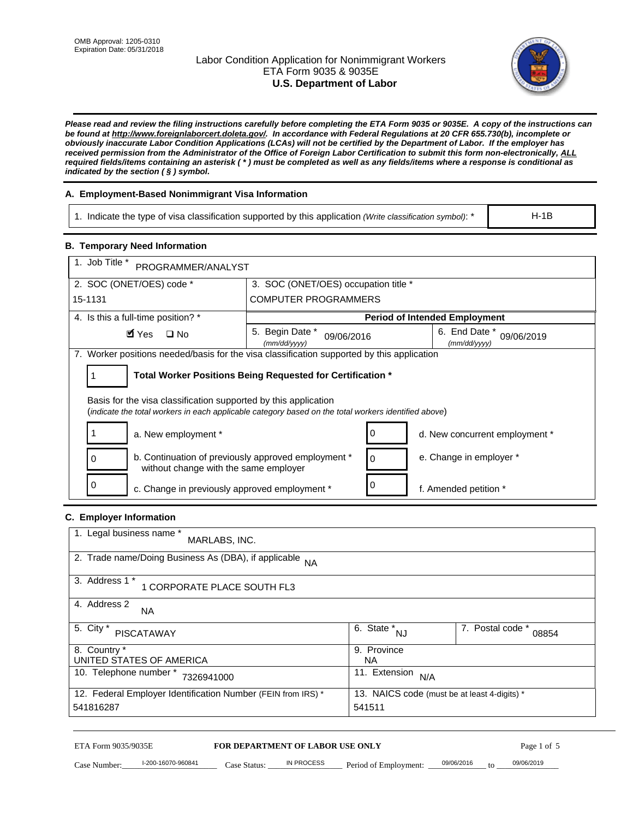# Labor Condition Application for Nonimmigrant Workers ETA Form 9035 & 9035E **U.S. Department of Labor**



*Please read and review the filing instructions carefully before completing the ETA Form 9035 or 9035E. A copy of the instructions can be found at http://www.foreignlaborcert.doleta.gov/. In accordance with Federal Regulations at 20 CFR 655.730(b), incomplete or obviously inaccurate Labor Condition Applications (LCAs) will not be certified by the Department of Labor. If the employer has received permission from the Administrator of the Office of Foreign Labor Certification to submit this form non-electronically, ALL required fields/items containing an asterisk ( \* ) must be completed as well as any fields/items where a response is conditional as indicated by the section ( § ) symbol.* 

# **A. Employment-Based Nonimmigrant Visa Information**

1. Indicate the type of visa classification supported by this application *(Write classification symbol)*: \*

# **B. Temporary Need Information**

| <b>B. Temporary Need Information</b><br>1. Job Title *                                                                                                                  |                                                            |                                              |  |
|-------------------------------------------------------------------------------------------------------------------------------------------------------------------------|------------------------------------------------------------|----------------------------------------------|--|
| PROGRAMMER/ANALYST                                                                                                                                                      |                                                            |                                              |  |
| 2. SOC (ONET/OES) code *<br>3. SOC (ONET/OES) occupation title *                                                                                                        |                                                            |                                              |  |
| 15-1131                                                                                                                                                                 | <b>COMPUTER PROGRAMMERS</b>                                |                                              |  |
| 4. Is this a full-time position? *                                                                                                                                      |                                                            | <b>Period of Intended Employment</b>         |  |
| $\blacksquare$ Yes<br>$\square$ No                                                                                                                                      | 5. Begin Date *<br>09/06/2016<br>(mm/dd/yyyy)              | 6. End Date *<br>09/06/2019<br>(mm/dd/yyyy)  |  |
| 7. Worker positions needed/basis for the visa classification supported by this application                                                                              |                                                            |                                              |  |
| 1                                                                                                                                                                       | Total Worker Positions Being Requested for Certification * |                                              |  |
|                                                                                                                                                                         |                                                            |                                              |  |
| Basis for the visa classification supported by this application<br>(indicate the total workers in each applicable category based on the total workers identified above) |                                                            |                                              |  |
| 1<br>a. New employment *                                                                                                                                                | 0                                                          | d. New concurrent employment *               |  |
| b. Continuation of previously approved employment *<br>0<br>without change with the same employer                                                                       | 0                                                          | e. Change in employer *                      |  |
| 0<br>c. Change in previously approved employment *                                                                                                                      | 0                                                          | f. Amended petition *                        |  |
| C. Employer Information                                                                                                                                                 |                                                            |                                              |  |
| 1. Legal business name *                                                                                                                                                |                                                            |                                              |  |
| MARLABS, INC.                                                                                                                                                           |                                                            |                                              |  |
| 2. Trade name/Doing Business As (DBA), if applicable                                                                                                                    | <b>NA</b>                                                  |                                              |  |
| 3. Address 1 *<br>1 CORPORATE PLACE SOUTH FL3                                                                                                                           |                                                            |                                              |  |
| 4. Address 2<br>NA.                                                                                                                                                     |                                                            |                                              |  |
| 5. City *                                                                                                                                                               | $\overline{6. \text{ State}}^*_{NJ}$                       | 7. Postal code *                             |  |
| <b>PISCATAWAY</b>                                                                                                                                                       |                                                            | 08854                                        |  |
| 8. Country *<br>UNITED STATES OF AMERICA                                                                                                                                | 9. Province<br><b>NA</b>                                   |                                              |  |
| 10. Telephone number * 7326941000                                                                                                                                       | 11. Extension $N/A$                                        |                                              |  |
| 12. Federal Employer Identification Number (FEIN from IRS) *                                                                                                            |                                                            | 13. NAICS code (must be at least 4-digits) * |  |
| 541816287                                                                                                                                                               | 541511                                                     |                                              |  |
|                                                                                                                                                                         |                                                            |                                              |  |

#### **C. Employer Information**

| 1. Legal business name *<br>MARLABS, INC.                    |                                              |                           |
|--------------------------------------------------------------|----------------------------------------------|---------------------------|
| 2. Trade name/Doing Business As (DBA), if applicable NA      |                                              |                           |
| 3. Address 1 *<br>1 CORPORATE PLACE SOUTH FL3                |                                              |                           |
| 4. Address 2<br><b>NA</b>                                    |                                              |                           |
| 5. City *<br><b>PISCATAWAY</b>                               | 6. State *<br><b>NJ</b>                      | 7. Postal code *<br>08854 |
| 8. Country *                                                 | 9. Province                                  |                           |
| UNITED STATES OF AMERICA                                     | NА                                           |                           |
| 10. Telephone number *<br>7326941000                         | 11. Extension<br>N/A                         |                           |
| 12. Federal Employer Identification Number (FEIN from IRS) * | 13. NAICS code (must be at least 4-digits) * |                           |
| 541816287                                                    | 541511                                       |                           |

# ETA Form 9035/9035E **FOR DEPARTMENT OF LABOR USE ONLY** Page 1 of 5<br>Case Number: 1-200-16070-960841 Case Status: IN PROCESS Period of Employment: 09/06/2016 to 09/06/2019

Case Number: 1-200-16070-960841 Case Status: IN PROCESS Period of Employment: 09/06/2016 to 09/06/2019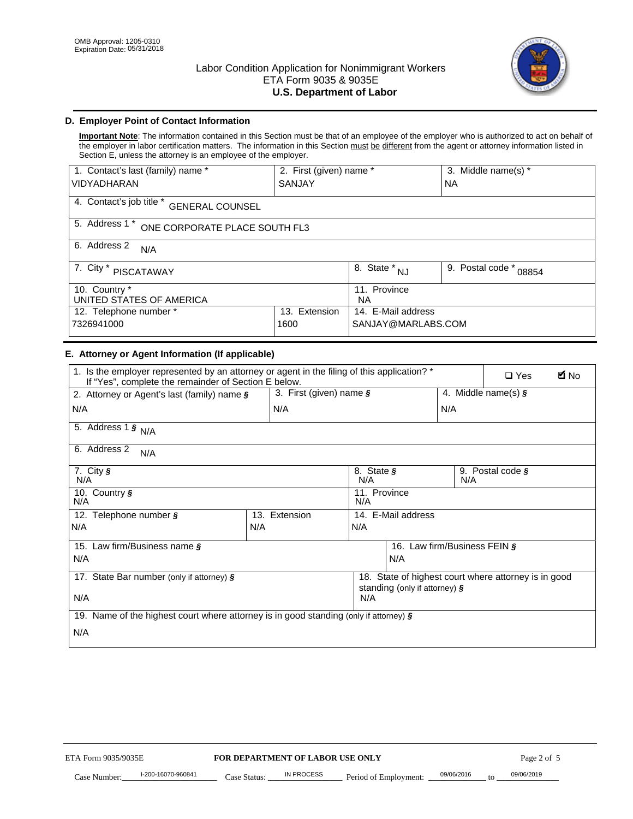

# **D. Employer Point of Contact Information**

**Important Note**: The information contained in this Section must be that of an employee of the employer who is authorized to act on behalf of the employer in labor certification matters. The information in this Section must be different from the agent or attorney information listed in Section E, unless the attorney is an employee of the employer.

| 1. Contact's last (family) name *                  | 2. First (given) name *               |                           | 3. Middle name(s) * |  |  |
|----------------------------------------------------|---------------------------------------|---------------------------|---------------------|--|--|
| <b>VIDYADHARAN</b>                                 | <b>SANJAY</b>                         |                           | <b>NA</b>           |  |  |
| 4. Contact's job title *<br><b>GENERAL COUNSEL</b> |                                       |                           |                     |  |  |
| 5. Address 1 *<br>ONE CORPORATE PLACE SOUTH FL3    |                                       |                           |                     |  |  |
| 6. Address 2<br>N/A                                |                                       |                           |                     |  |  |
| 7. City $*$<br><b>PISCATAWAY</b>                   | $\overline{8}$ . State *<br><b>NJ</b> | 9. Postal code *<br>08854 |                     |  |  |
| 10. Country *<br>UNITED STATES OF AMERICA          | 11. Province<br><b>NA</b>             |                           |                     |  |  |
| Extension<br>12. Telephone number *<br>13.         |                                       | 14. E-Mail address        |                     |  |  |
| 7326941000<br>1600                                 |                                       | SANJAY@MARLABS.COM        |                     |  |  |

# **E. Attorney or Agent Information (If applicable)**

| VIDYADHARAN                                                                                                                                         | SANJAY                           |                                           |                                          | <b>NA</b>        |                                                      |             |
|-----------------------------------------------------------------------------------------------------------------------------------------------------|----------------------------------|-------------------------------------------|------------------------------------------|------------------|------------------------------------------------------|-------------|
| 4. Contact's job title * GENERAL COUNSEL                                                                                                            |                                  |                                           |                                          |                  |                                                      |             |
| 5. Address 1 * ONE CORPORATE PLACE SOUTH FL3                                                                                                        |                                  |                                           |                                          |                  |                                                      |             |
| 6. Address 2<br>N/A                                                                                                                                 |                                  |                                           |                                          |                  |                                                      |             |
| 7. City * PISCATAWAY                                                                                                                                |                                  | $\overline{\phantom{a}}$ 8. State $^*$ NJ |                                          | 9. Postal code * | 08854                                                |             |
| 10. Country *<br>UNITED STATES OF AMERICA                                                                                                           |                                  | 11. Province<br>NA                        |                                          |                  |                                                      |             |
| 12. Telephone number *<br>7326941000                                                                                                                | 13. Extension<br>1600            |                                           | 14. E-Mail address<br>SANJAY@MARLABS.COM |                  |                                                      |             |
| E. Attorney or Agent Information (If applicable)                                                                                                    |                                  |                                           |                                          |                  |                                                      |             |
| 1. Is the employer represented by an attorney or agent in the filing of this application? *<br>If "Yes", complete the remainder of Section E below. |                                  |                                           |                                          |                  | $\Box$ Yes                                           | <b>M</b> No |
| 2. Attorney or Agent's last (family) name §                                                                                                         | 3. First (given) name §          |                                           |                                          |                  | 4. Middle name(s) $\sqrt{s}$                         |             |
| N/A                                                                                                                                                 | N/A                              |                                           |                                          | N/A              |                                                      |             |
| 5. Address 1 $\frac{1}{9}$ N/A                                                                                                                      |                                  |                                           |                                          |                  |                                                      |             |
| 6. Address 2<br>N/A                                                                                                                                 |                                  |                                           |                                          |                  |                                                      |             |
| 7. City §<br>N/A                                                                                                                                    |                                  | 8. State §<br>N/A                         |                                          | N/A              | 9. Postal code §                                     |             |
| 10. Country §<br>N/A                                                                                                                                |                                  | 11. Province<br>N/A                       |                                          |                  |                                                      |             |
| 12. Telephone number §                                                                                                                              | 13. Extension                    | 14. E-Mail address                        |                                          |                  |                                                      |             |
| N/A                                                                                                                                                 | N/A                              | N/A                                       |                                          |                  |                                                      |             |
| 15. Law firm/Business name §                                                                                                                        |                                  |                                           | 16. Law firm/Business FEIN §             |                  |                                                      |             |
| N/A                                                                                                                                                 |                                  |                                           | N/A                                      |                  |                                                      |             |
| 17. State Bar number (only if attorney) §                                                                                                           |                                  |                                           | standing (only if attorney) §            |                  | 18. State of highest court where attorney is in good |             |
| N/A                                                                                                                                                 |                                  | N/A                                       |                                          |                  |                                                      |             |
| 19. Name of the highest court where attorney is in good standing (only if attorney) §                                                               |                                  |                                           |                                          |                  |                                                      |             |
| N/A                                                                                                                                                 |                                  |                                           |                                          |                  |                                                      |             |
|                                                                                                                                                     |                                  |                                           |                                          |                  |                                                      |             |
|                                                                                                                                                     |                                  |                                           |                                          |                  |                                                      |             |
|                                                                                                                                                     |                                  |                                           |                                          |                  |                                                      |             |
|                                                                                                                                                     |                                  |                                           |                                          |                  |                                                      |             |
|                                                                                                                                                     |                                  |                                           |                                          |                  |                                                      |             |
|                                                                                                                                                     |                                  |                                           |                                          |                  |                                                      |             |
|                                                                                                                                                     |                                  |                                           |                                          |                  |                                                      |             |
| ETA Form 9035/9035E                                                                                                                                 | FOR DEPARTMENT OF LABOR USE ONLY |                                           |                                          |                  | Page 2 of 5                                          |             |
| I-200-16070-960841                                                                                                                                  | <b>IN PROCESS</b>                |                                           |                                          | 09/06/2016       | 09/06/2019                                           |             |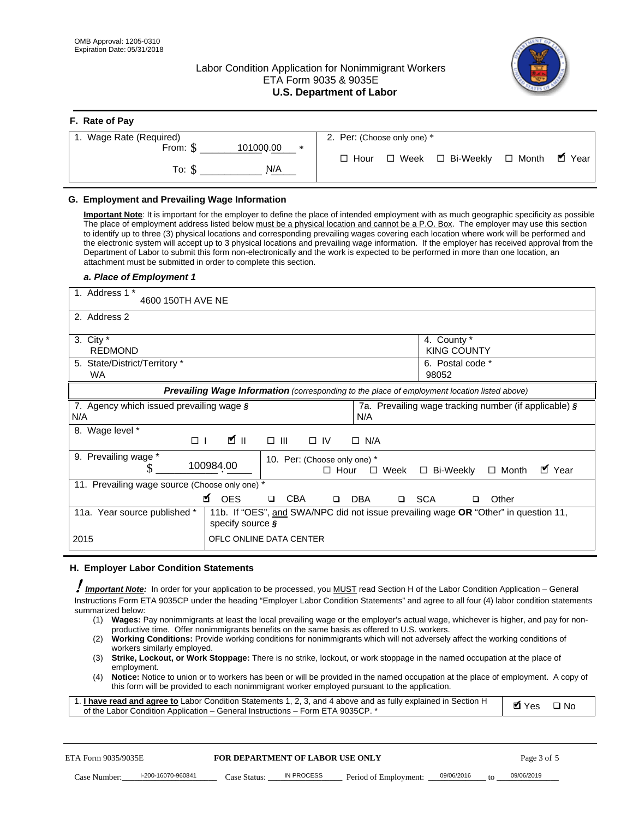# Labor Condition Application for Nonimmigrant Workers ETA Form 9035 & 9035E **U.S. Department of Labor**



| F. Rate of Pay               |                                                             |
|------------------------------|-------------------------------------------------------------|
| 1. Wage Rate (Required)      | 2. Per: (Choose only one) *                                 |
| 101000.00<br>From: \$<br>$*$ | ■ Year<br>□ Bi-Weekly □ Month<br>$\Box$ Week<br>$\Box$ Hour |
| N/A<br>To: \$                |                                                             |

## **G. Employment and Prevailing Wage Information**

#### *a. Place of Employment 1*

|      | From: \$                                                                                                                                                                                                                                                                                                                                                                                                                                                                                                                                                                                                                                                                                                                                                                                                                                  | 101000.00<br>$\ast$<br>To: $\S$<br>N/A                                                                                                                                                                                                                                                                                                                                                                                                                                                                                                                                                                                                                                                                                               | $\Box$ Hour                                 |                       | $\Box$ Week $\Box$ Bi-Weekly                                   | $\Box$ Month | $\blacksquare$ Year |
|------|-------------------------------------------------------------------------------------------------------------------------------------------------------------------------------------------------------------------------------------------------------------------------------------------------------------------------------------------------------------------------------------------------------------------------------------------------------------------------------------------------------------------------------------------------------------------------------------------------------------------------------------------------------------------------------------------------------------------------------------------------------------------------------------------------------------------------------------------|--------------------------------------------------------------------------------------------------------------------------------------------------------------------------------------------------------------------------------------------------------------------------------------------------------------------------------------------------------------------------------------------------------------------------------------------------------------------------------------------------------------------------------------------------------------------------------------------------------------------------------------------------------------------------------------------------------------------------------------|---------------------------------------------|-----------------------|----------------------------------------------------------------|--------------|---------------------|
|      | G. Employment and Prevailing Wage Information<br>Important Note: It is important for the employer to define the place of intended employment with as much geographic specificity as possible<br>The place of employment address listed below must be a physical location and cannot be a P.O. Box. The employer may use this section<br>to identify up to three (3) physical locations and corresponding prevailing wages covering each location where work will be performed and<br>the electronic system will accept up to 3 physical locations and prevailing wage information. If the employer has received approval from the<br>Department of Labor to submit this form non-electronically and the work is expected to be performed in more than one location, an<br>attachment must be submitted in order to complete this section. |                                                                                                                                                                                                                                                                                                                                                                                                                                                                                                                                                                                                                                                                                                                                      |                                             |                       |                                                                |              |                     |
|      | a. Place of Employment 1<br>1. Address 1 *<br>4600 150TH AVE NE                                                                                                                                                                                                                                                                                                                                                                                                                                                                                                                                                                                                                                                                                                                                                                           |                                                                                                                                                                                                                                                                                                                                                                                                                                                                                                                                                                                                                                                                                                                                      |                                             |                       |                                                                |              |                     |
|      | 2. Address 2                                                                                                                                                                                                                                                                                                                                                                                                                                                                                                                                                                                                                                                                                                                                                                                                                              |                                                                                                                                                                                                                                                                                                                                                                                                                                                                                                                                                                                                                                                                                                                                      |                                             |                       |                                                                |              |                     |
|      | 3. City *<br><b>REDMOND</b><br>5. State/District/Territory *<br>WA                                                                                                                                                                                                                                                                                                                                                                                                                                                                                                                                                                                                                                                                                                                                                                        |                                                                                                                                                                                                                                                                                                                                                                                                                                                                                                                                                                                                                                                                                                                                      |                                             |                       | 4. County *<br><b>KING COUNTY</b><br>6. Postal code *<br>98052 |              |                     |
|      |                                                                                                                                                                                                                                                                                                                                                                                                                                                                                                                                                                                                                                                                                                                                                                                                                                           | Prevailing Wage Information (corresponding to the place of employment location listed above)                                                                                                                                                                                                                                                                                                                                                                                                                                                                                                                                                                                                                                         |                                             |                       |                                                                |              |                     |
| N/A  | 7. Agency which issued prevailing wage §                                                                                                                                                                                                                                                                                                                                                                                                                                                                                                                                                                                                                                                                                                                                                                                                  |                                                                                                                                                                                                                                                                                                                                                                                                                                                                                                                                                                                                                                                                                                                                      | N/A                                         |                       | 7a. Prevailing wage tracking number (if applicable) §          |              |                     |
|      | 8. Wage level *<br>$\Box$                                                                                                                                                                                                                                                                                                                                                                                                                                                                                                                                                                                                                                                                                                                                                                                                                 | <b>M</b><br>$\Box$<br>III                                                                                                                                                                                                                                                                                                                                                                                                                                                                                                                                                                                                                                                                                                            | $\Box$ IV<br>$\Box$ N/A                     |                       |                                                                |              |                     |
|      | 9. Prevailing wage *<br>S                                                                                                                                                                                                                                                                                                                                                                                                                                                                                                                                                                                                                                                                                                                                                                                                                 | 100984.00                                                                                                                                                                                                                                                                                                                                                                                                                                                                                                                                                                                                                                                                                                                            | 10. Per: (Choose only one) *<br>$\Box$ Hour | $\Box$ Week           | □ Bi-Weekly                                                    | $\Box$ Month | ■ Year              |
|      | 11. Prevailing wage source (Choose only one) *                                                                                                                                                                                                                                                                                                                                                                                                                                                                                                                                                                                                                                                                                                                                                                                            | <b>¤</b> OES<br><b>CBA</b><br>$\Box$                                                                                                                                                                                                                                                                                                                                                                                                                                                                                                                                                                                                                                                                                                 | DBA<br>$\Box$                               |                       | □ SCA<br>□                                                     | Other        |                     |
|      | 11a. Year source published *                                                                                                                                                                                                                                                                                                                                                                                                                                                                                                                                                                                                                                                                                                                                                                                                              | 11b. If "OES", and SWA/NPC did not issue prevailing wage OR "Other" in question 11,<br>specify source $\boldsymbol{\S}$                                                                                                                                                                                                                                                                                                                                                                                                                                                                                                                                                                                                              |                                             |                       |                                                                |              |                     |
| 2015 |                                                                                                                                                                                                                                                                                                                                                                                                                                                                                                                                                                                                                                                                                                                                                                                                                                           | OFLC ONLINE DATA CENTER                                                                                                                                                                                                                                                                                                                                                                                                                                                                                                                                                                                                                                                                                                              |                                             |                       |                                                                |              |                     |
|      | H. Employer Labor Condition Statements                                                                                                                                                                                                                                                                                                                                                                                                                                                                                                                                                                                                                                                                                                                                                                                                    |                                                                                                                                                                                                                                                                                                                                                                                                                                                                                                                                                                                                                                                                                                                                      |                                             |                       |                                                                |              |                     |
|      | Important Note: In order for your application to be processed, you MUST read Section H of the Labor Condition Application - General<br>Instructions Form ETA 9035CP under the heading "Employer Labor Condition Statements" and agree to all four (4) labor condition statements<br>summarized below:<br>(1)<br>(2)<br>workers similarly employed.<br>(3)<br>employment.<br>(4)<br>1. <i>I have read and agree to</i> Labor Condition Statements 1, 2, 3, and 4 above and as fully explained in Section H<br>of the Labor Condition Application - General Instructions - Form ETA 9035CP. *                                                                                                                                                                                                                                               | Wages: Pay nonimmigrants at least the local prevailing wage or the employer's actual wage, whichever is higher, and pay for non-<br>productive time. Offer nonimmigrants benefits on the same basis as offered to U.S. workers.<br><b>Working Conditions:</b> Provide working conditions for nonimmigrants which will not adversely affect the working conditions of<br>Strike, Lockout, or Work Stoppage: There is no strike, lockout, or work stoppage in the named occupation at the place of<br>Notice: Notice to union or to workers has been or will be provided in the named occupation at the place of employment. A copy of<br>this form will be provided to each nonimmigrant worker employed pursuant to the application. |                                             |                       |                                                                | <b>Ø</b> Yes | $\square$ No        |
|      | ETA Form 9035/9035E                                                                                                                                                                                                                                                                                                                                                                                                                                                                                                                                                                                                                                                                                                                                                                                                                       | <b>FOR DEPARTMENT OF LABOR USE ONLY</b>                                                                                                                                                                                                                                                                                                                                                                                                                                                                                                                                                                                                                                                                                              |                                             |                       |                                                                | Page 3 of 5  |                     |
|      | I-200-16070-960841<br>Case Number:                                                                                                                                                                                                                                                                                                                                                                                                                                                                                                                                                                                                                                                                                                                                                                                                        | IN PROCESS<br>Case Status: .                                                                                                                                                                                                                                                                                                                                                                                                                                                                                                                                                                                                                                                                                                         |                                             | Period of Employment: | 09/06/2016                                                     | 09/06/2019   |                     |

#### **H. Employer Labor Condition Statements**

- (1) **Wages:** Pay nonimmigrants at least the local prevailing wage or the employer's actual wage, whichever is higher, and pay for nonproductive time. Offer nonimmigrants benefits on the same basis as offered to U.S. workers.
- (2) **Working Conditions:** Provide working conditions for nonimmigrants which will not adversely affect the working conditions of workers similarly employed.
- (3) **Strike, Lockout, or Work Stoppage:** There is no strike, lockout, or work stoppage in the named occupation at the place of employment.
- (4) **Notice:** Notice to union or to workers has been or will be provided in the named occupation at the place of employment. A copy of this form will be provided to each nonimmigrant worker employed pursuant to the application.

| 1. I have read and agree to Labor Condition Statements 1, 2, 3, and 4 above and as fully explained in Section H | $\blacksquare$ Yes $\square$ No |  |
|-----------------------------------------------------------------------------------------------------------------|---------------------------------|--|
| of the Labor Condition Application – General Instructions – Form ETA 9035CP. *                                  |                                 |  |

| ETA Form 9035/9035E |                    | <b>FOR DEPARTMENT OF LABOR USE ONLY</b> |            |                                   |                | Page 3 of 5 |
|---------------------|--------------------|-----------------------------------------|------------|-----------------------------------|----------------|-------------|
| Case Number:        | I-200-16070-960841 | Case Status:                            | IN PROCESS | Period of Employment: _09/06/2016 | f <sub>O</sub> | 09/06/2019  |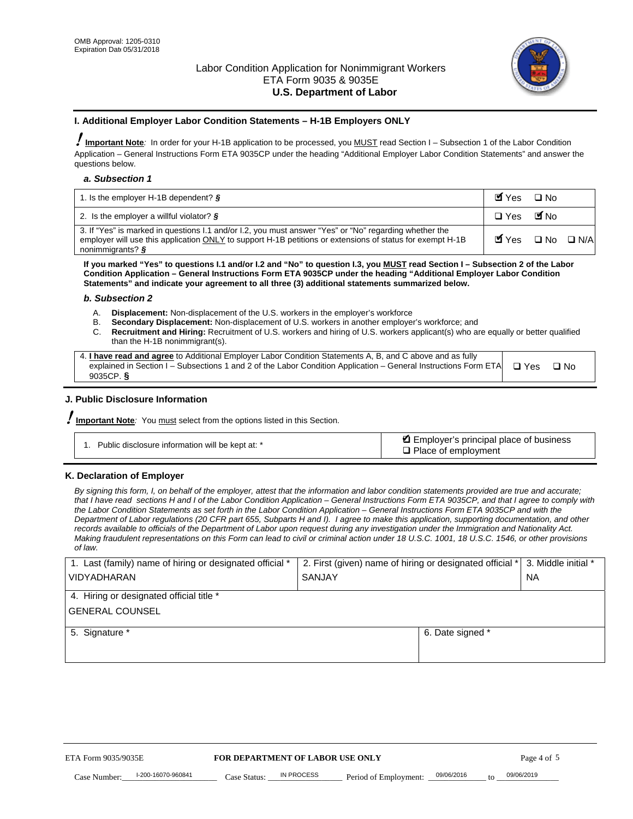

#### **I. Additional Employer Labor Condition Statements – H-1B Employers ONLY**

!**Important Note***:* In order for your H-1B application to be processed, you MUST read Section I – Subsection 1 of the Labor Condition Application – General Instructions Form ETA 9035CP under the heading "Additional Employer Labor Condition Statements" and answer the questions below.

#### *a. Subsection 1*

| 1. Is the employer H-1B dependent? $\S$                                                                                                                                                                                                 | Myes                                          | $\Box$ No              |  |
|-----------------------------------------------------------------------------------------------------------------------------------------------------------------------------------------------------------------------------------------|-----------------------------------------------|------------------------|--|
| 2. Is the employer a willful violator? $\frac{1}{2}$                                                                                                                                                                                    | $\Box$ Yes                                    | <b>M</b> <sub>No</sub> |  |
| 3. If "Yes" is marked in questions 1.1 and/or 1.2, you must answer "Yes" or "No" regarding whether the<br>employer will use this application ONLY to support H-1B petitions or extensions of status for exempt H-1B<br>nonimmigrants? § | $\blacksquare$ Yes $\square$ No $\square$ N/A |                        |  |

**If you marked "Yes" to questions I.1 and/or I.2 and "No" to question I.3, you MUST read Section I – Subsection 2 of the Labor Condition Application – General Instructions Form ETA 9035CP under the heading "Additional Employer Labor Condition Statements" and indicate your agreement to all three (3) additional statements summarized below.** 

#### *b. Subsection 2*

- A. **Displacement:** Non-displacement of the U.S. workers in the employer's workforce
- B. **Secondary Displacement:** Non-displacement of U.S. workers in another employer's workforce; and
- C. **Recruitment and Hiring:** Recruitment of U.S. workers and hiring of U.S. workers applicant(s) who are equally or better qualified than the H-1B nonimmigrant(s).

| 4. I have read and agree to Additional Employer Labor Condition Statements A, B, and C above and as fully       |            |      |
|-----------------------------------------------------------------------------------------------------------------|------------|------|
| explained in Section I – Subsections 1 and 2 of the Labor Condition Application – General Instructions Form ETA | $\Box$ Yes | ⊟ No |
| 9035CP. $\frac{5}{9}$                                                                                           |            |      |

# **J. Public Disclosure Information**

!**Important Note***:* You must select from the options listed in this Section.

| Public disclosure information will be kept at: * | Employer's principal place of business<br>$\Box$ Place of employment |
|--------------------------------------------------|----------------------------------------------------------------------|
|--------------------------------------------------|----------------------------------------------------------------------|

#### **K. Declaration of Employer**

*By signing this form, I, on behalf of the employer, attest that the information and labor condition statements provided are true and accurate;*  that I have read sections H and I of the Labor Condition Application – General Instructions Form ETA 9035CP, and that I agree to comply with *the Labor Condition Statements as set forth in the Labor Condition Application – General Instructions Form ETA 9035CP and with the Department of Labor regulations (20 CFR part 655, Subparts H and I). I agree to make this application, supporting documentation, and other records available to officials of the Department of Labor upon request during any investigation under the Immigration and Nationality Act. Making fraudulent representations on this Form can lead to civil or criminal action under 18 U.S.C. 1001, 18 U.S.C. 1546, or other provisions of law.* 

| 1. Last (family) name of hiring or designated official * | 2. First (given) name of hiring or designated official * |                                 | 3. Middle initial * |
|----------------------------------------------------------|----------------------------------------------------------|---------------------------------|---------------------|
| <b>VIDYADHARAN</b>                                       | <b>SANJAY</b>                                            |                                 | <b>NA</b>           |
| 4. Hiring or designated official title *                 |                                                          |                                 |                     |
| <b>GENERAL COUNSEL</b>                                   |                                                          |                                 |                     |
| 5. Signature *                                           |                                                          | 6. Date signed *                |                     |
|                                                          |                                                          |                                 |                     |
|                                                          |                                                          |                                 |                     |
|                                                          |                                                          |                                 |                     |
|                                                          |                                                          |                                 |                     |
| ETA Form 9035/9035E                                      | FOR DEPARTMENT OF LABOR USE ONLY                         |                                 | Page 4 of 5         |
| I-200-16070-960841<br>Case Number<br>Case Status:        | IN PROCESS<br>Period of Employment:                      | 09/06/2016<br>$\mathsf{t} \cap$ | 09/06/2019          |